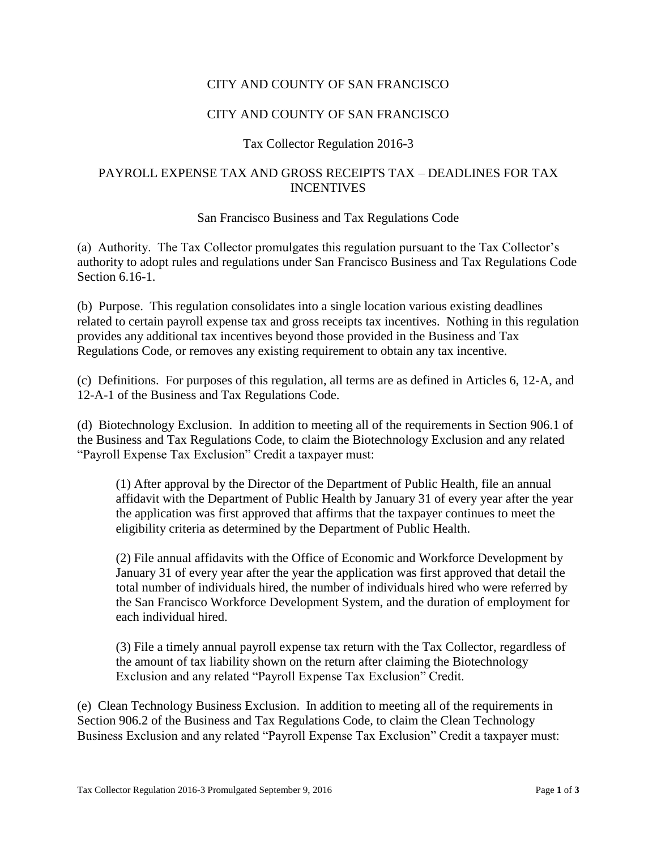# CITY AND COUNTY OF SAN FRANCISCO

# CITY AND COUNTY OF SAN FRANCISCO

# Tax Collector Regulation 2016-3

# PAYROLL EXPENSE TAX AND GROSS RECEIPTS TAX – DEADLINES FOR TAX INCENTIVES

### San Francisco Business and Tax Regulations Code

(a) Authority. The Tax Collector promulgates this regulation pursuant to the Tax Collector's authority to adopt rules and regulations under San Francisco Business and Tax Regulations Code Section 6.16-1.

(b) Purpose. This regulation consolidates into a single location various existing deadlines related to certain payroll expense tax and gross receipts tax incentives. Nothing in this regulation provides any additional tax incentives beyond those provided in the Business and Tax Regulations Code, or removes any existing requirement to obtain any tax incentive.

(c) Definitions. For purposes of this regulation, all terms are as defined in Articles 6, 12-A, and 12-A-1 of the Business and Tax Regulations Code.

(d) Biotechnology Exclusion. In addition to meeting all of the requirements in Section 906.1 of the Business and Tax Regulations Code, to claim the Biotechnology Exclusion and any related "Payroll Expense Tax Exclusion" Credit a taxpayer must:

(1) After approval by the Director of the Department of Public Health, file an annual affidavit with the Department of Public Health by January 31 of every year after the year the application was first approved that affirms that the taxpayer continues to meet the eligibility criteria as determined by the Department of Public Health.

(2) File annual affidavits with the Office of Economic and Workforce Development by January 31 of every year after the year the application was first approved that detail the total number of individuals hired, the number of individuals hired who were referred by the San Francisco Workforce Development System, and the duration of employment for each individual hired.

(3) File a timely annual payroll expense tax return with the Tax Collector, regardless of the amount of tax liability shown on the return after claiming the Biotechnology Exclusion and any related "Payroll Expense Tax Exclusion" Credit.

(e) Clean Technology Business Exclusion. In addition to meeting all of the requirements in Section 906.2 of the Business and Tax Regulations Code, to claim the Clean Technology Business Exclusion and any related "Payroll Expense Tax Exclusion" Credit a taxpayer must: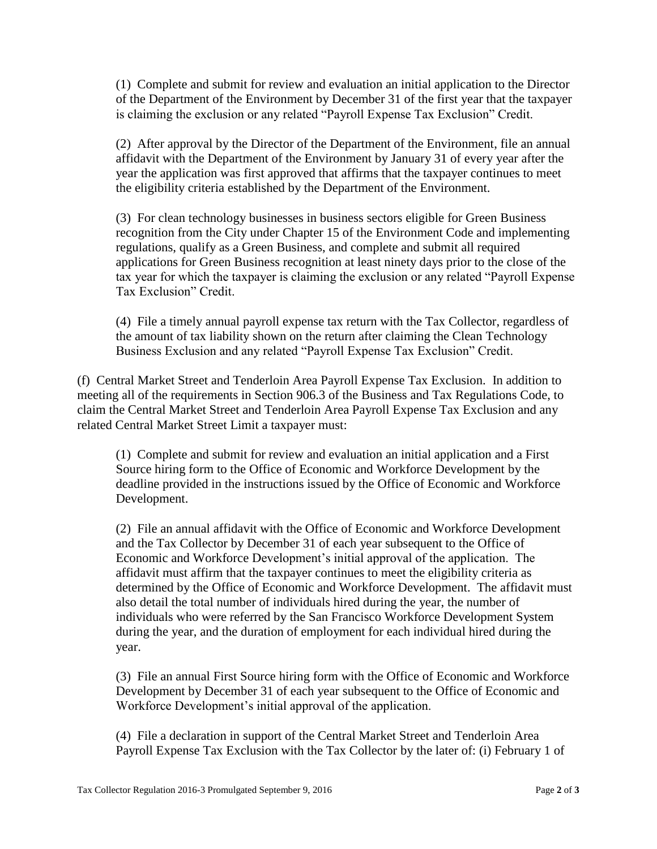(1) Complete and submit for review and evaluation an initial application to the Director of the Department of the Environment by December 31 of the first year that the taxpayer is claiming the exclusion or any related "Payroll Expense Tax Exclusion" Credit.

(2) After approval by the Director of the Department of the Environment, file an annual affidavit with the Department of the Environment by January 31 of every year after the year the application was first approved that affirms that the taxpayer continues to meet the eligibility criteria established by the Department of the Environment.

(3) For clean technology businesses in business sectors eligible for Green Business recognition from the City under Chapter 15 of the Environment Code and implementing regulations, qualify as a Green Business, and complete and submit all required applications for Green Business recognition at least ninety days prior to the close of the tax year for which the taxpayer is claiming the exclusion or any related "Payroll Expense Tax Exclusion" Credit.

(4) File a timely annual payroll expense tax return with the Tax Collector, regardless of the amount of tax liability shown on the return after claiming the Clean Technology Business Exclusion and any related "Payroll Expense Tax Exclusion" Credit.

(f) Central Market Street and Tenderloin Area Payroll Expense Tax Exclusion. In addition to meeting all of the requirements in Section 906.3 of the Business and Tax Regulations Code, to claim the Central Market Street and Tenderloin Area Payroll Expense Tax Exclusion and any related Central Market Street Limit a taxpayer must:

(1) Complete and submit for review and evaluation an initial application and a First Source hiring form to the Office of Economic and Workforce Development by the deadline provided in the instructions issued by the Office of Economic and Workforce Development.

(2) File an annual affidavit with the Office of Economic and Workforce Development and the Tax Collector by December 31 of each year subsequent to the Office of Economic and Workforce Development's initial approval of the application. The affidavit must affirm that the taxpayer continues to meet the eligibility criteria as determined by the Office of Economic and Workforce Development. The affidavit must also detail the total number of individuals hired during the year, the number of individuals who were referred by the San Francisco Workforce Development System during the year, and the duration of employment for each individual hired during the year.

(3) File an annual First Source hiring form with the Office of Economic and Workforce Development by December 31 of each year subsequent to the Office of Economic and Workforce Development's initial approval of the application.

(4) File a declaration in support of the Central Market Street and Tenderloin Area Payroll Expense Tax Exclusion with the Tax Collector by the later of: (i) February 1 of